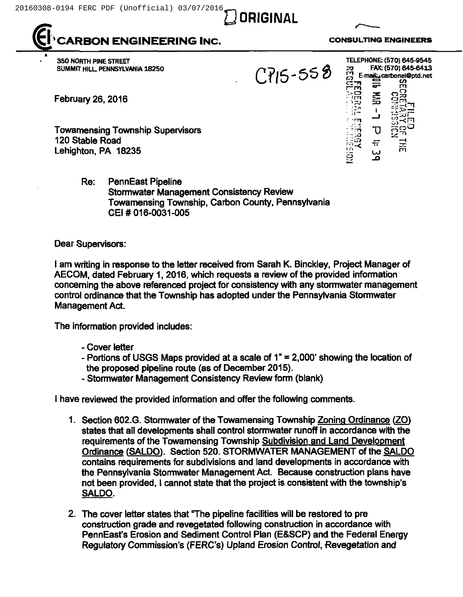

REON ENGINEERING INC. CONSULTING ENGINEERS

**ORIGINAL** 

350 NORTH PINE STREET SUMMIT HILL PENNSYLVANIA 18250

February 26, 2016

Towamensing Township Supervisors 120 Stable Road Lehighton, PA 18235

> Re: PennEast Pipeline Stormwater Management Consistency Review Towamensing Township, Carbon County, Pennsylvania CEI # 016-0031-005

## Dear Supervisors:

<sup>I</sup> am writing in response to the letter received from Sarah K. Binckley, Project Manager of AECOM, dated February 1, 2016, which requests a review of the provided information concerning the above referenced project for consistency with any stormwater management control ordinance that the Township has adopted under the Pennsylvania Stormwater Management Act.

The information provided includes:

- Cover letter
- Portions of USGS Maps provided at a scale of  $1" = 2,000'$  showing the location of the proposed pipeline route (as of December 2015).
- Stormwater Management Consistency Review form (blank)

<sup>I</sup> have reviewed the provided information and offer the following comments.

- 1. Section 602.G. Stormwater of the Towamensing Township Zoning Ordinance (ZO) states that all developments shall control stormwater runoff in accordance with the requirements of the Towamensing Township Subdivision and Land Development Ordinance (SALDO). Section 520. STORMWATER MANAGEMENT of the SALDO contains requirements for subdivisions and land developments in accordance with the Pennsylvania Stormwater Management Act. Because construction plans have not been provided, <sup>I</sup> cannot state that the project is consistent with the township's SALDO.
- 2. The cover letter states that "The pipeline facilities will be restored to pre construction grade and revegetated following construction in accordance with PennEast's Erosion and Sediment Control Plan (E&SCP) and the Federal Energy Regulatory Commission's (FERG's) Upland Erosion Control, Revegetation and

 $\mathbb{H}$   $\sigma$   $\tilde{\mathbb{S}}$ ទ $\tilde{\mathbb{S}}$ 

÷

ま<br>35  $\mathbf{I}$ 

س س

 $\Xi$ 

TELEPHONE: (570) 645-9545 FAX: (570) 6456413 E-mail: carbonei@ptd.ne<br>n ======== te ITI

> I tn~g

 $CPI5 - 558$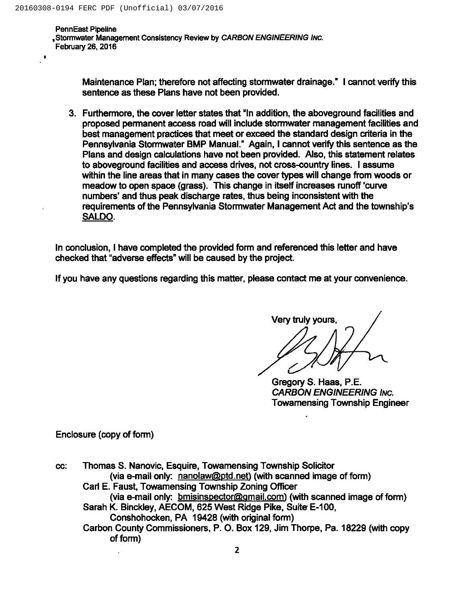$\mathbf{R}$ 

PennEast Pipeline , Stormwater Management Consistency Review by CARBON ENGINEERING INC. February 26, 2016

> Maintenance Plan; therefore not affecting stormwater drainage." <sup>I</sup> cannot verify this sentence as these Plans have not been provided.

3. Furthermore, the cover letter states that "ln addition, the aboveground facilities and proposed permanent access road will include stormwater management facilities and best management practices that meet or exceed the standard design criteria in the Pennsylvania Stormwater BMP Manual." Again, <sup>I</sup> cannot verify this sentence as the Plans and design calculations have not been provided. Also, this statement relates to aboveground facilities and access drives, not cross-country lines. <sup>I</sup> assume within the line areas that in many cases the cover types will change from woods or meadow to open space (grass). This change in itself increases runoff 'curve numbers' and thus peak discharge rates, thus being inconsistent with the requirements of the Pennsylvania Stormwater Management Act and the township's SALDO.

In conclusion, <sup>I</sup> have completed the provided form and referenced this letter and have checked that "adverse effects" will be caused by the project.

If you have any questions regarding this matter, please contact me at your convenience.

Very truly yours

Gregory S. Haas, P.E. CARBON ENGINEERING INc. Towamensing Township Engineer

Enclosure (copy of form)

Thomas S. Nanovic, Esquire, Towamensing Township Solicitor CC: (via e-mail only:  $nanolaw@ptd.net$ ) (with scanned image of form) Carl E. Faust, Towamensing Township Zoning Officer (via e-mail only: bmisinspector@gmail.com) (with scanned image of form) Sarah K. Binckley, AECOM, 825 West Ridge Pike, Suite E-100, Conshohocken, PA 19428 (with original form) Carbon County Commissioners, P. O. Box 129, Jim Thorpe, Pa. 18229 (with copy of form)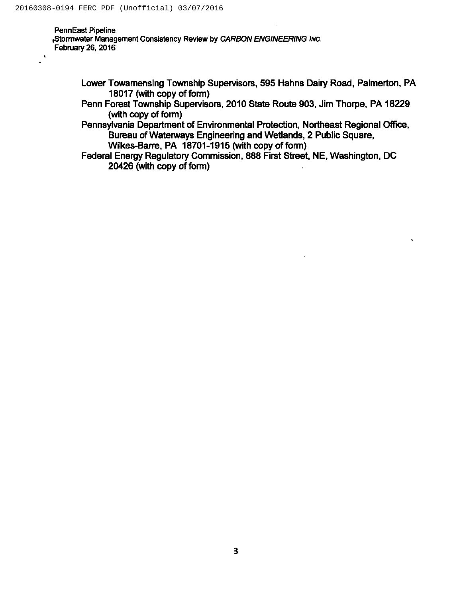PennEast Pipeline <sub>P</sub>Stormwater Management Consistency Review by CARBON ENGINEERING Inc. February 26, 2016

- Lower Towamensing Township Supervisors, 595 Hahns Dairy Road, Palmerton, PA 18017(with copy of form)
- Penn Forest Township Supervisors, 2010 State Route 903, Jim Thorpe, PA 18229 (with copy of form)
- Pennsylvania Department of Environmental Protection, Northeast Regional Office, Bureau of Waterways Engineering and Wetlands, 2 Public Square, Wilkes-Barre, PA 18701-1915(with copy of form)
- Federal Energy Regulatory Commission, 888 First Street, NE, Washington, DC 20428 (with copy of form)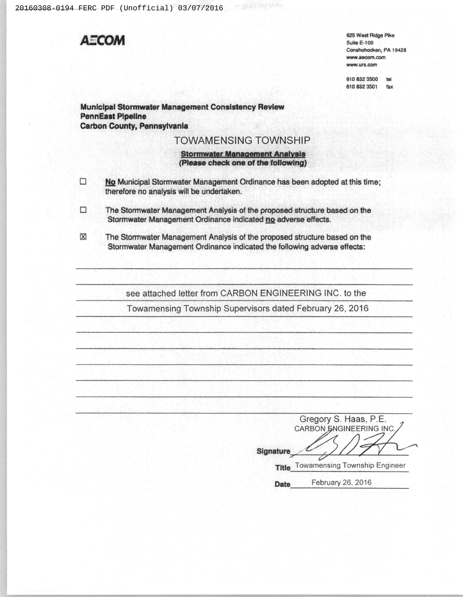

11 通貨金融 464

|                  | Gregory S. Haas, P.E.         |
|------------------|-------------------------------|
|                  | CARBON ENGINEERING INC.       |
| <b>Signature</b> |                               |
| Title            | Towamensing Township Engineer |

February 26, 2016 Date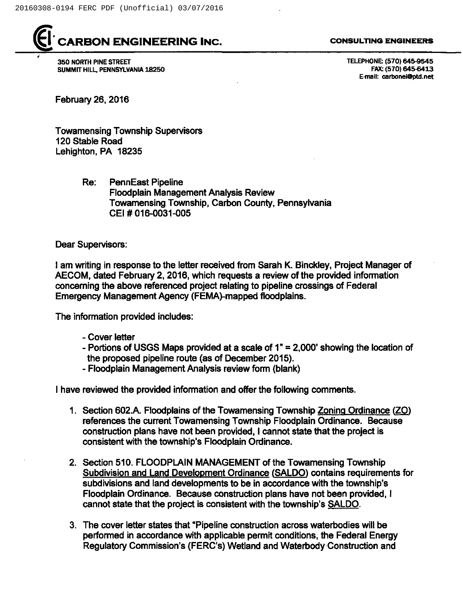

## CARBON ENGINEERING INC.

350 NORTH PINE STREET SUMMIT HILL, PENNSYLVANIA 18250

## CONSULTING ENGINEERS

TELEPHONE: (570) 645-9545 FAX: (570) 645-6413 E-mail: carbcnei@ptd.net

February 26, 2016

Towamensing Township Supervisors 120 Stable Road Lehighton, PA 18235

> Re: PennEast Pipeline Floodplain Management Analysis Review Towamensing Township, Carbon County, Pennsylvania CEI # 016-0031-005

Dear Supervisors:

<sup>I</sup> am writing in response to the letter received from Sarah K. Binckley, Project Manager of AECOM, dated February 2, 2016, which requests a review of the provided information concerning the above referenced project relating to pipeline crossings of Federal Emergency Management Agency (FEMA)-mapped floodplains.

The information provided includes:

- Cover letter
- Portions of USGS Maps provided at a scale of  $1" = 2,000'$  showing the location of the proposed pipeline route (as of December 2015).
- Floodplain Management Analysis review form (blank)

<sup>I</sup> have reviewed the provided information and offer the following comments.

- 1. Section 602.A. Floodplains of the Towamensing Township Zoning Ordinance (ZO) references the current Towamensing Township Floodplain Ordinance. Because construction plans have not been provided, <sup>I</sup> cannot state that the project is consistent with the township's Floodplain Ordinance.
- 2. Section 510. FLOODPLAIN MANAGEMENT of the Towamensing Township Subdivision and Land Development Ordinance (SALDO) contains requirements for subdivisions and land developments to be in accordance with the township's Floodplain Ordinance. Because construction plans have not been provided, <sup>I</sup> cannot state that the project is consistent with the township's SALDO.
- 3. The cover letter states that "Pipeline construction across waterbodies will be performed in accordance with applicable permit conditions, the Federal Energy Regulatory Commission's (FERC's) Wetland and Waterbody Construction and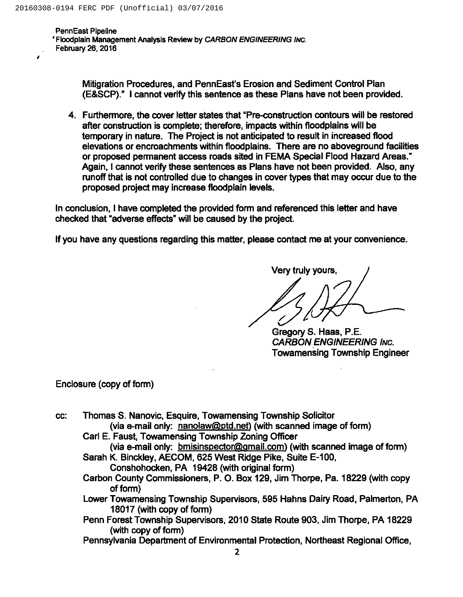PennEast Pipeline 'Floodplain Management Analysis Review by CARBON ENGINEERING Iwc. February 26, 2016

> Mitigration Procedures, and PennEast's Erosion and Sediment Control Plan (E&SCP)." <sup>I</sup> cannot verify this sentence as these Plans have not been provided.

4. Furthermore, the cover letter states that "Pre-construction contours will be restored after construction is complete; therefore, impacts within floodplains will be temporary in nature. The Project is not anticipated to result in increased flood elevations or encroachments within floodplains. There are no aboveground facilities or proposed permanent access roads sited in FEMA Special Flood Hazard Areas." Again, <sup>I</sup> cannot verify these sentences as Plans have not been provided. Also, any runoff that is not controlled due to changes in cover types that may occur due to the proposed project may increase floodplain levels.

In conclusion, <sup>I</sup> have completed the provided form and referenced this letter and have checked that "adverse effects" will be caused by the project.

If you have any questions regarding this matter, please contact me at your convenience.

Very truly yours, I

Gregory S. Haas, P.E. CARBON ENGINEERING INc. Towamensing Township Engineer

Enclosure (copy of form)

- cc: Thomas S. Nanovic, Esquire, Towamensing Township Solicitor (via e-mail only: nanolaw@ptd.net) (with scanned image of form)
	- Carl E. Faust, Towamensing Township Zoning Officer (via e-mail only: bmisinspector@gmail.com) (with scanned image of form)
	- Sarah K. Binckley, AECOM, 625 West Ridge Pike, Suite E-100, Conshohocken, PA 19428 (with original form)
	- Carbon County Commissioners, P. O. Box 129, Jim Thorpe, Pa. 18229 (with copy of form)
	- Lower Towamensing Township Supervisors, 595 Hahns Dairy Road, Palmerton, PA 18017 (with copy of form)
	- Penn Forest Township Supervisors, 2010 State Route 903, Jim Thorpe, PA 18229 (with copy of form)
	- Pennsylvania Department of Environmental Protection, Northeast Regional Office,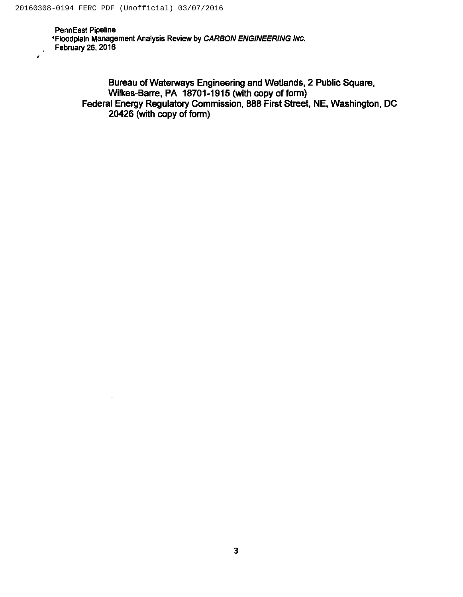PennEast Pipeline 'Floodplain Management Analysis Review by CARBON ENGINEERING lrvc. February 26, 2016

> Bureau of Waterways Engineering and Wetlands, 2 Public Square, Wilkes-Barre, PA 18701-1915 (with copy of form) Federal Energy Regulatory Commission, 888 First Street, NE, Washington, DC 20426 (with copy of form)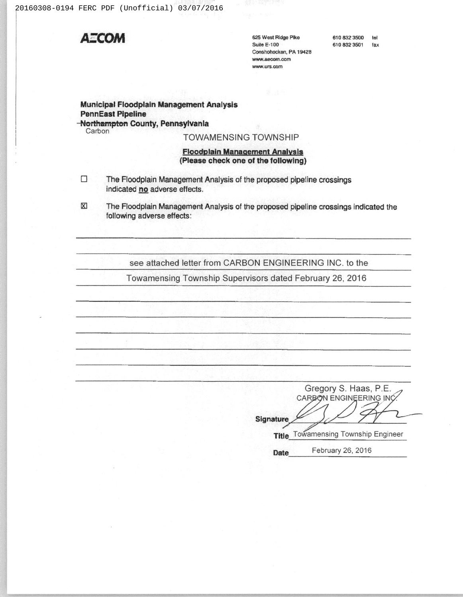

625 West Ridge Pike **Suite E-100** Conshohocken, PA 19428 www.aecom.com www.urs.com

610 832 3500 tel 610 832 3501 fax

Municipal Floodplain Management Analysis **PennEast Pipeline** -Northampton County, Pennsylvania

Carbon

**TOWAMENSING TOWNSHIP** 

## **Floodplain Management Analysis** (Please check one of the following)

- $\Box$ The Floodplain Management Analysis of the proposed pipeline crossings indicated no adverse effects.
- $\mathbb{Z}$ The Floodplain Management Analysis of the proposed pipeline crossings indicated the following adverse effects:

see attached letter from CARBON ENGINEERING INC. to the

Towamensing Township Supervisors dated February 26, 2016

Gregory S. Haas, P.E. CARBON ENGINEERING INC Signature Title Towamensing Township Engineer

February 26, 2016 **Date**